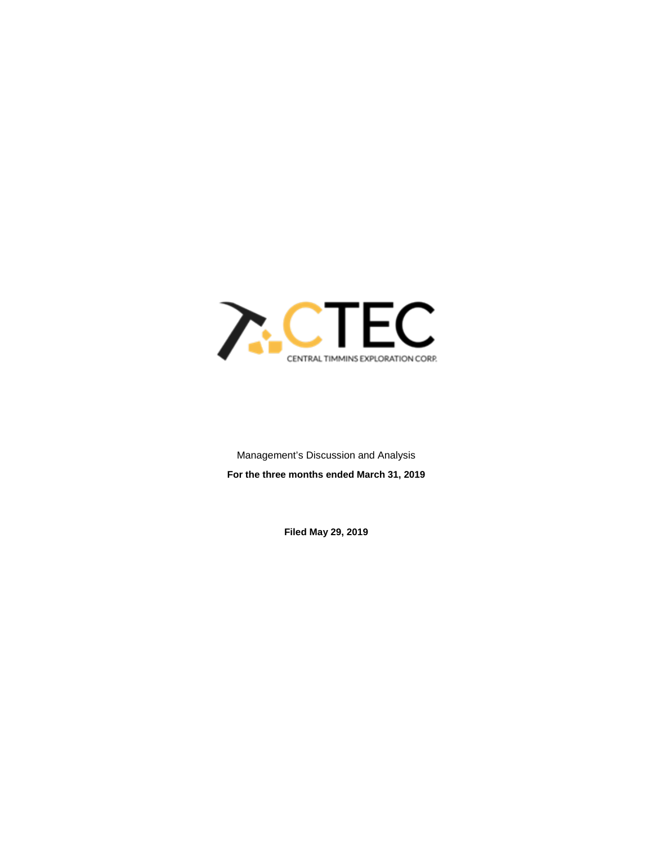

Management's Discussion and Analysis **For the three months ended March 31, 2019**

**Filed May 29, 2019**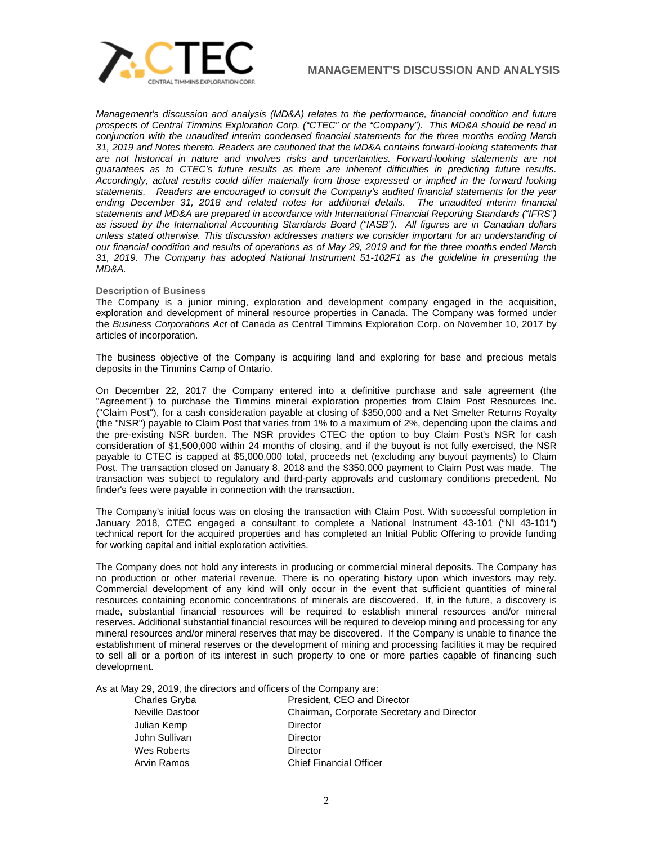

*Management's discussion and analysis (MD&A) relates to the performance, financial condition and future prospects of Central Timmins Exploration Corp. ("CTEC" or the "Company"). This MD&A should be read in conjunction with the unaudited interim condensed financial statements for the three months ending March 31, 2019 and Notes thereto. Readers are cautioned that the MD&A contains forward-looking statements that are not historical in nature and involves risks and uncertainties. Forward-looking statements are not guarantees as to CTEC's future results as there are inherent difficulties in predicting future results. Accordingly, actual results could differ materially from those expressed or implied in the forward looking statements. Readers are encouraged to consult the Company's audited financial statements for the year ending December 31, 2018 and related notes for additional details. The unaudited interim financial statements and MD&A are prepared in accordance with International Financial Reporting Standards ("IFRS") as issued by the International Accounting Standards Board ("IASB"). All figures are in Canadian dollars unless stated otherwise. This discussion addresses matters we consider important for an understanding of our financial condition and results of operations as of May 29, 2019 and for the three months ended March 31, 2019. The Company has adopted National Instrument 51-102F1 as the guideline in presenting the MD&A.*

### **Description of Business**

The Company is a junior mining, exploration and development company engaged in the acquisition, exploration and development of mineral resource properties in Canada. The Company was formed under the *Business Corporations Act* of Canada as Central Timmins Exploration Corp. on November 10, 2017 by articles of incorporation.

The business objective of the Company is acquiring land and exploring for base and precious metals deposits in the Timmins Camp of Ontario.

On December 22, 2017 the Company entered into a definitive purchase and sale agreement (the "Agreement") to purchase the Timmins mineral exploration properties from Claim Post Resources Inc. ("Claim Post"), for a cash consideration payable at closing of \$350,000 and a Net Smelter Returns Royalty (the "NSR") payable to Claim Post that varies from 1% to a maximum of 2%, depending upon the claims and the pre-existing NSR burden. The NSR provides CTEC the option to buy Claim Post's NSR for cash consideration of \$1,500,000 within 24 months of closing, and if the buyout is not fully exercised, the NSR payable to CTEC is capped at \$5,000,000 total, proceeds net (excluding any buyout payments) to Claim Post. The transaction closed on January 8, 2018 and the \$350,000 payment to Claim Post was made. The transaction was subject to regulatory and third-party approvals and customary conditions precedent. No finder's fees were payable in connection with the transaction.

The Company's initial focus was on closing the transaction with Claim Post. With successful completion in January 2018, CTEC engaged a consultant to complete a National Instrument 43-101 ("NI 43-101") technical report for the acquired properties and has completed an Initial Public Offering to provide funding for working capital and initial exploration activities.

The Company does not hold any interests in producing or commercial mineral deposits. The Company has no production or other material revenue. There is no operating history upon which investors may rely. Commercial development of any kind will only occur in the event that sufficient quantities of mineral resources containing economic concentrations of minerals are discovered. If, in the future, a discovery is made, substantial financial resources will be required to establish mineral resources and/or mineral reserves. Additional substantial financial resources will be required to develop mining and processing for any mineral resources and/or mineral reserves that may be discovered. If the Company is unable to finance the establishment of mineral reserves or the development of mining and processing facilities it may be required to sell all or a portion of its interest in such property to one or more parties capable of financing such development.

As at May 29, 2019, the directors and officers of the Company are:

| Neville Dastoor<br>Chairman, Corporate Secretary and Director<br>Julian Kemp<br>Director<br>John Sullivan<br>Director<br>Wes Roberts<br>Director |  |
|--------------------------------------------------------------------------------------------------------------------------------------------------|--|
|                                                                                                                                                  |  |
|                                                                                                                                                  |  |
|                                                                                                                                                  |  |
|                                                                                                                                                  |  |
| <b>Chief Financial Officer</b><br>Arvin Ramos                                                                                                    |  |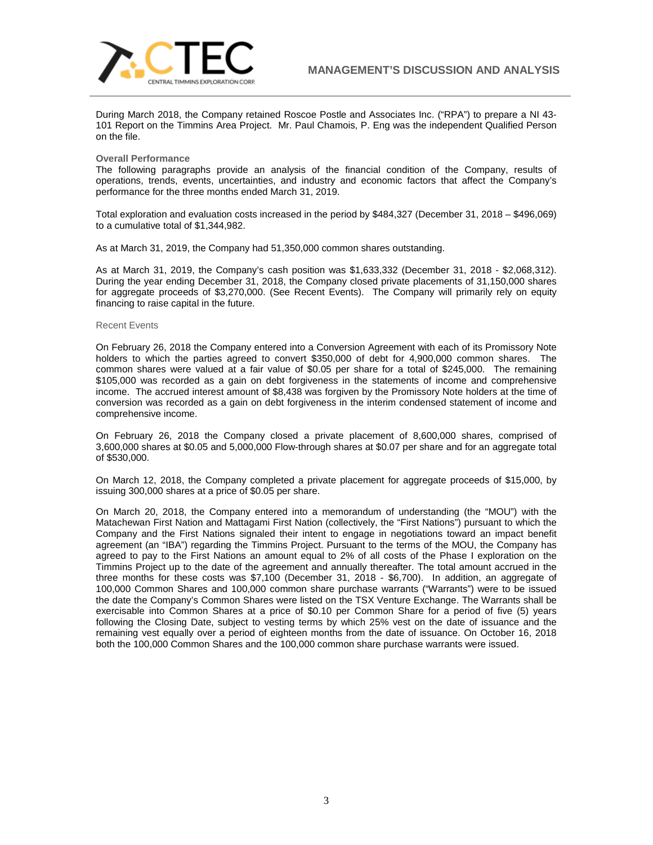

During March 2018, the Company retained Roscoe Postle and Associates Inc. ("RPA") to prepare a NI 43- 101 Report on the Timmins Area Project. Mr. Paul Chamois, P. Eng was the independent Qualified Person on the file.

#### **Overall Performance**

The following paragraphs provide an analysis of the financial condition of the Company, results of operations, trends, events, uncertainties, and industry and economic factors that affect the Company's performance for the three months ended March 31, 2019.

Total exploration and evaluation costs increased in the period by \$484,327 (December 31, 2018 – \$496,069) to a cumulative total of \$1,344,982.

As at March 31, 2019, the Company had 51,350,000 common shares outstanding.

As at March 31, 2019, the Company's cash position was \$1,633,332 (December 31, 2018 - \$2,068,312). During the year ending December 31, 2018, the Company closed private placements of 31,150,000 shares for aggregate proceeds of \$3,270,000. (See Recent Events). The Company will primarily rely on equity financing to raise capital in the future.

#### Recent Events

On February 26, 2018 the Company entered into a Conversion Agreement with each of its Promissory Note holders to which the parties agreed to convert \$350,000 of debt for 4,900,000 common shares. The common shares were valued at a fair value of \$0.05 per share for a total of \$245,000. The remaining \$105,000 was recorded as a gain on debt forgiveness in the statements of income and comprehensive income. The accrued interest amount of \$8,438 was forgiven by the Promissory Note holders at the time of conversion was recorded as a gain on debt forgiveness in the interim condensed statement of income and comprehensive income.

On February 26, 2018 the Company closed a private placement of 8,600,000 shares, comprised of 3,600,000 shares at \$0.05 and 5,000,000 Flow-through shares at \$0.07 per share and for an aggregate total of \$530,000.

On March 12, 2018, the Company completed a private placement for aggregate proceeds of \$15,000, by issuing 300,000 shares at a price of \$0.05 per share.

On March 20, 2018, the Company entered into a memorandum of understanding (the "MOU") with the Matachewan First Nation and Mattagami First Nation (collectively, the "First Nations") pursuant to which the Company and the First Nations signaled their intent to engage in negotiations toward an impact benefit agreement (an "IBA") regarding the Timmins Project. Pursuant to the terms of the MOU, the Company has agreed to pay to the First Nations an amount equal to 2% of all costs of the Phase I exploration on the Timmins Project up to the date of the agreement and annually thereafter. The total amount accrued in the three months for these costs was \$7,100 (December 31, 2018 - \$6,700). In addition, an aggregate of 100,000 Common Shares and 100,000 common share purchase warrants ("Warrants") were to be issued the date the Company's Common Shares were listed on the TSX Venture Exchange. The Warrants shall be exercisable into Common Shares at a price of \$0.10 per Common Share for a period of five (5) years following the Closing Date, subject to vesting terms by which 25% vest on the date of issuance and the remaining vest equally over a period of eighteen months from the date of issuance. On October 16, 2018 both the 100,000 Common Shares and the 100,000 common share purchase warrants were issued.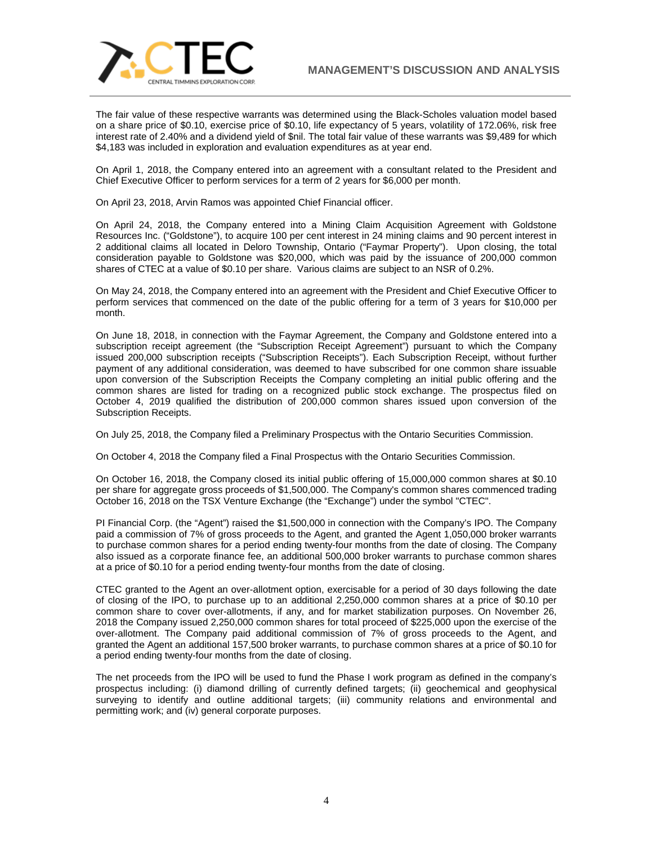

The fair value of these respective warrants was determined using the Black-Scholes valuation model based on a share price of \$0.10, exercise price of \$0.10, life expectancy of 5 years, volatility of 172.06%, risk free interest rate of 2.40% and a dividend yield of \$nil. The total fair value of these warrants was \$9,489 for which \$4,183 was included in exploration and evaluation expenditures as at year end.

On April 1, 2018, the Company entered into an agreement with a consultant related to the President and Chief Executive Officer to perform services for a term of 2 years for \$6,000 per month.

On April 23, 2018, Arvin Ramos was appointed Chief Financial officer.

On April 24, 2018, the Company entered into a Mining Claim Acquisition Agreement with Goldstone Resources Inc. ("Goldstone"), to acquire 100 per cent interest in 24 mining claims and 90 percent interest in 2 additional claims all located in Deloro Township, Ontario ("Faymar Property"). Upon closing, the total consideration payable to Goldstone was \$20,000, which was paid by the issuance of 200,000 common shares of CTEC at a value of \$0.10 per share. Various claims are subject to an NSR of 0.2%.

On May 24, 2018, the Company entered into an agreement with the President and Chief Executive Officer to perform services that commenced on the date of the public offering for a term of 3 years for \$10,000 per month.

On June 18, 2018, in connection with the Faymar Agreement, the Company and Goldstone entered into a subscription receipt agreement (the "Subscription Receipt Agreement") pursuant to which the Company issued 200,000 subscription receipts ("Subscription Receipts"). Each Subscription Receipt, without further payment of any additional consideration, was deemed to have subscribed for one common share issuable upon conversion of the Subscription Receipts the Company completing an initial public offering and the common shares are listed for trading on a recognized public stock exchange. The prospectus filed on October 4, 2019 qualified the distribution of 200,000 common shares issued upon conversion of the Subscription Receipts.

On July 25, 2018, the Company filed a Preliminary Prospectus with the Ontario Securities Commission.

On October 4, 2018 the Company filed a Final Prospectus with the Ontario Securities Commission.

On October 16, 2018, the Company closed its initial public offering of 15,000,000 common shares at \$0.10 per share for aggregate gross proceeds of \$1,500,000. The Company's common shares commenced trading October 16, 2018 on the TSX Venture Exchange (the "Exchange") under the symbol "CTEC".

PI Financial Corp. (the "Agent") raised the \$1,500,000 in connection with the Company's IPO. The Company paid a commission of 7% of gross proceeds to the Agent, and granted the Agent 1,050,000 broker warrants to purchase common shares for a period ending twenty-four months from the date of closing. The Company also issued as a corporate finance fee, an additional 500,000 broker warrants to purchase common shares at a price of \$0.10 for a period ending twenty-four months from the date of closing.

CTEC granted to the Agent an over-allotment option, exercisable for a period of 30 days following the date of closing of the IPO, to purchase up to an additional 2,250,000 common shares at a price of \$0.10 per common share to cover over-allotments, if any, and for market stabilization purposes. On November 26, 2018 the Company issued 2,250,000 common shares for total proceed of \$225,000 upon the exercise of the over-allotment. The Company paid additional commission of 7% of gross proceeds to the Agent, and granted the Agent an additional 157,500 broker warrants, to purchase common shares at a price of \$0.10 for a period ending twenty-four months from the date of closing.

The net proceeds from the IPO will be used to fund the Phase I work program as defined in the company's prospectus including: (i) diamond drilling of currently defined targets; (ii) geochemical and geophysical surveying to identify and outline additional targets; (iii) community relations and environmental and permitting work; and (iv) general corporate purposes.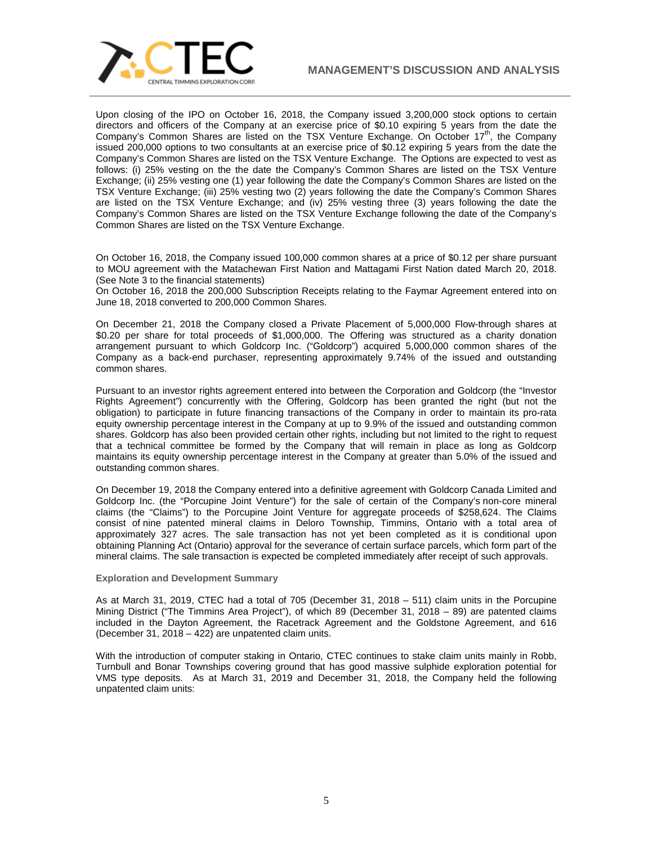

Upon closing of the IPO on October 16, 2018, the Company issued 3,200,000 stock options to certain directors and officers of the Company at an exercise price of \$0.10 expiring 5 years from the date the Company's Common Shares are listed on the TSX Venture Exchange. On October 17<sup>th</sup>, the Company issued 200,000 options to two consultants at an exercise price of \$0.12 expiring 5 years from the date the Company's Common Shares are listed on the TSX Venture Exchange. The Options are expected to vest as follows: (i) 25% vesting on the the date the Company's Common Shares are listed on the TSX Venture Exchange; (ii) 25% vesting one (1) year following the date the Company's Common Shares are listed on the TSX Venture Exchange; (iii) 25% vesting two (2) years following the date the Company's Common Shares are listed on the TSX Venture Exchange; and (iv) 25% vesting three (3) years following the date the Company's Common Shares are listed on the TSX Venture Exchange following the date of the Company's Common Shares are listed on the TSX Venture Exchange.

On October 16, 2018, the Company issued 100,000 common shares at a price of \$0.12 per share pursuant to MOU agreement with the Matachewan First Nation and Mattagami First Nation dated March 20, 2018. (See Note 3 to the financial statements)

On October 16, 2018 the 200,000 Subscription Receipts relating to the Faymar Agreement entered into on June 18, 2018 converted to 200,000 Common Shares.

On December 21, 2018 the Company closed a Private Placement of 5,000,000 Flow-through shares at \$0.20 per share for total proceeds of \$1,000,000. The Offering was structured as a charity donation arrangement pursuant to which Goldcorp Inc. ("Goldcorp") acquired 5,000,000 common shares of the Company as a back-end purchaser, representing approximately 9.74% of the issued and outstanding common shares.

Pursuant to an investor rights agreement entered into between the Corporation and Goldcorp (the "Investor Rights Agreement") concurrently with the Offering, Goldcorp has been granted the right (but not the obligation) to participate in future financing transactions of the Company in order to maintain its pro-rata equity ownership percentage interest in the Company at up to 9.9% of the issued and outstanding common shares. Goldcorp has also been provided certain other rights, including but not limited to the right to request that a technical committee be formed by the Company that will remain in place as long as Goldcorp maintains its equity ownership percentage interest in the Company at greater than 5.0% of the issued and outstanding common shares.

On December 19, 2018 the Company entered into a definitive agreement with Goldcorp Canada Limited and Goldcorp Inc. (the "Porcupine Joint Venture") for the sale of certain of the Company's non‐core mineral claims (the "Claims") to the Porcupine Joint Venture for aggregate proceeds of \$258,624. The Claims consist of nine patented mineral claims in Deloro Township, Timmins, Ontario with a total area of approximately 327 acres. The sale transaction has not yet been completed as it is conditional upon obtaining Planning Act (Ontario) approval for the severance of certain surface parcels, which form part of the mineral claims. The sale transaction is expected be completed immediately after receipt of such approvals.

### **Exploration and Development Summary**

As at March 31, 2019, CTEC had a total of 705 (December 31, 2018 – 511) claim units in the Porcupine Mining District ("The Timmins Area Project"), of which 89 (December 31, 2018 – 89) are patented claims included in the Dayton Agreement, the Racetrack Agreement and the Goldstone Agreement, and 616 (December 31, 2018 – 422) are unpatented claim units.

With the introduction of computer staking in Ontario, CTEC continues to stake claim units mainly in Robb, Turnbull and Bonar Townships covering ground that has good massive sulphide exploration potential for VMS type deposits. As at March 31, 2019 and December 31, 2018, the Company held the following unpatented claim units: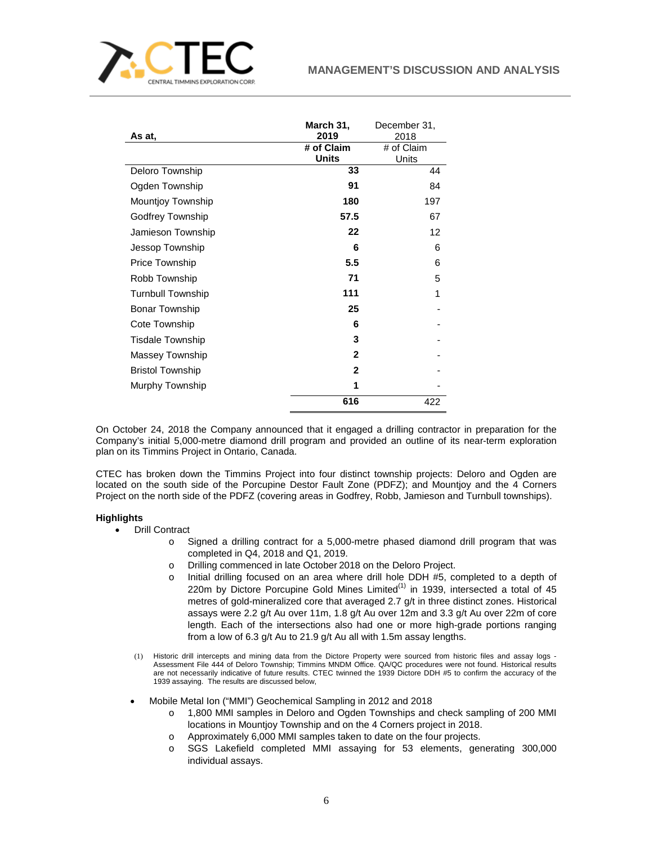

| As at,                   | March 31,<br>2019          | December 31,<br>2018 |
|--------------------------|----------------------------|----------------------|
|                          | # of Claim<br><b>Units</b> | # of Claim<br>Units  |
| Deloro Township          | 33                         | 44                   |
| Ogden Township           | 91                         | 84                   |
| <b>Mountjoy Township</b> | 180                        | 197                  |
| Godfrey Township         | 57.5                       | 67                   |
| Jamieson Township        | 22                         | 12                   |
| Jessop Township          | 6                          | 6                    |
| Price Township           | 5.5                        | 6                    |
| Robb Township            | 71                         | 5                    |
| <b>Turnbull Township</b> | 111                        | 1                    |
| <b>Bonar Township</b>    | 25                         |                      |
| Cote Township            | 6                          |                      |
| <b>Tisdale Township</b>  | 3                          |                      |
| Massey Township          | $\mathbf{2}$               |                      |
| <b>Bristol Township</b>  | 2                          |                      |
| Murphy Township          | 1                          |                      |
|                          | 616                        | 422                  |

On October 24, 2018 the Company announced that it engaged a drilling contractor in preparation for the Company's initial 5,000-metre diamond drill program and provided an outline of its near-term exploration plan on its Timmins Project in Ontario, Canada.

CTEC has broken down the Timmins Project into four distinct township projects: Deloro and Ogden are located on the south side of the Porcupine Destor Fault Zone (PDFZ); and Mountjoy and the 4 Corners Project on the north side of the PDFZ (covering areas in Godfrey, Robb, Jamieson and Turnbull townships).

# **Highlights**

- Drill Contract
	- o Signed a drilling contract for a 5,000-metre phased diamond drill program that was completed in Q4, 2018 and Q1, 2019.
	- o Drilling commenced in late October 2018 on the Deloro Project.
	- o Initial drilling focused on an area where drill hole DDH #5, completed to a depth of 220m by Dictore Porcupine Gold Mines Limited $(1)$  in 1939, intersected a total of 45 metres of gold-mineralized core that averaged 2.7 g/t in three distinct zones. Historical assays were 2.2 g/t Au over 11m, 1.8 g/t Au over 12m and 3.3 g/t Au over 22m of core length. Each of the intersections also had one or more high-grade portions ranging from a low of 6.3 g/t Au to 21.9 g/t Au all with 1.5m assay lengths.
	- (1) Historic drill intercepts and mining data from the Dictore Property were sourced from historic files and assay logs Assessment File 444 of Deloro Township; Timmins MNDM Office. QA/QC procedures were not found. Historical results are not necessarily indicative of future results. CTEC twinned the 1939 Dictore DDH #5 to confirm the accuracy of the 1939 assaying. The results are discussed below,
	- Mobile Metal Ion ("MMI") Geochemical Sampling in 2012 and 2018
		- o 1,800 MMI samples in Deloro and Ogden Townships and check sampling of 200 MMI locations in Mountjoy Township and on the 4 Corners project in 2018.
		- o Approximately 6,000 MMI samples taken to date on the four projects.<br>
		o SGS Lakefield completed MMI assaving for 53 elements. aer
		- SGS Lakefield completed MMI assaying for 53 elements, generating 300,000 individual assays.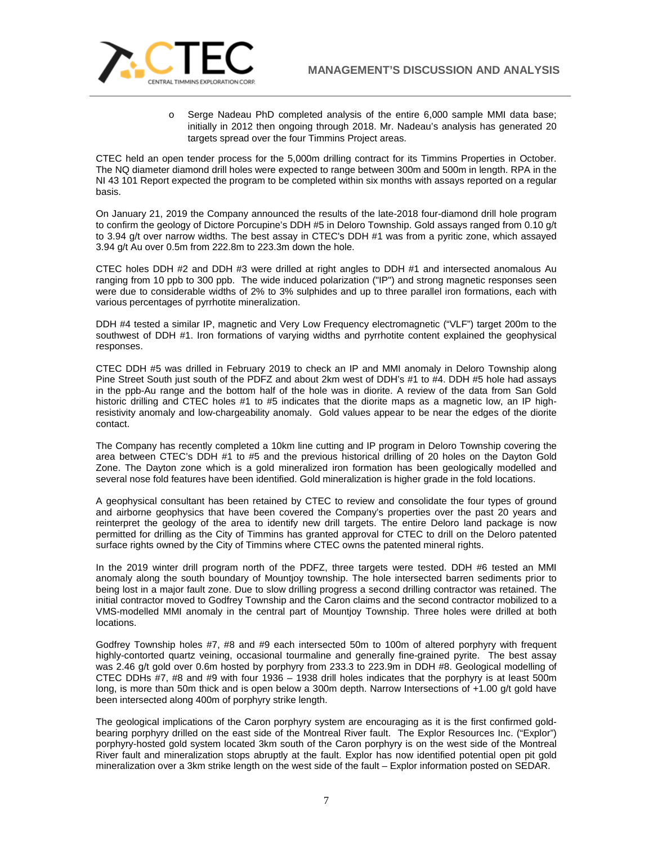

o Serge Nadeau PhD completed analysis of the entire 6,000 sample MMI data base; initially in 2012 then ongoing through 2018. Mr. Nadeau's analysis has generated 20 targets spread over the four Timmins Project areas.

CTEC held an open tender process for the 5,000m drilling contract for its Timmins Properties in October. The NQ diameter diamond drill holes were expected to range between 300m and 500m in length. RPA in the NI 43 101 Report expected the program to be completed within six months with assays reported on a regular basis.

On January 21, 2019 the Company announced the results of the late-2018 four-diamond drill hole program to confirm the geology of Dictore Porcupine's DDH #5 in Deloro Township. Gold assays ranged from 0.10 g/t to 3.94 g/t over narrow widths. The best assay in CTEC's DDH #1 was from a pyritic zone, which assayed 3.94 g/t Au over 0.5m from 222.8m to 223.3m down the hole.

CTEC holes DDH #2 and DDH #3 were drilled at right angles to DDH #1 and intersected anomalous Au ranging from 10 ppb to 300 ppb. The wide induced polarization ("IP") and strong magnetic responses seen were due to considerable widths of 2% to 3% sulphides and up to three parallel iron formations, each with various percentages of pyrrhotite mineralization.

DDH #4 tested a similar IP, magnetic and Very Low Frequency electromagnetic ("VLF") target 200m to the southwest of DDH #1. Iron formations of varying widths and pyrrhotite content explained the geophysical responses.

CTEC DDH #5 was drilled in February 2019 to check an IP and MMI anomaly in Deloro Township along Pine Street South just south of the PDFZ and about 2km west of DDH's #1 to #4. DDH #5 hole had assays in the ppb-Au range and the bottom half of the hole was in diorite. A review of the data from San Gold historic drilling and CTEC holes #1 to #5 indicates that the diorite maps as a magnetic low, an IP highresistivity anomaly and low-chargeability anomaly. Gold values appear to be near the edges of the diorite contact.

The Company has recently completed a 10km line cutting and IP program in Deloro Township covering the area between CTEC's DDH #1 to #5 and the previous historical drilling of 20 holes on the Dayton Gold Zone. The Dayton zone which is a gold mineralized iron formation has been geologically modelled and several nose fold features have been identified. Gold mineralization is higher grade in the fold locations.

A geophysical consultant has been retained by CTEC to review and consolidate the four types of ground and airborne geophysics that have been covered the Company's properties over the past 20 years and reinterpret the geology of the area to identify new drill targets. The entire Deloro land package is now permitted for drilling as the City of Timmins has granted approval for CTEC to drill on the Deloro patented surface rights owned by the City of Timmins where CTEC owns the patented mineral rights.

In the 2019 winter drill program north of the PDFZ, three targets were tested. DDH #6 tested an MMI anomaly along the south boundary of Mountjoy township. The hole intersected barren sediments prior to being lost in a major fault zone. Due to slow drilling progress a second drilling contractor was retained. The initial contractor moved to Godfrey Township and the Caron claims and the second contractor mobilized to a VMS-modelled MMI anomaly in the central part of Mountjoy Township. Three holes were drilled at both locations.

Godfrey Township holes #7, #8 and #9 each intersected 50m to 100m of altered porphyry with frequent highly-contorted quartz veining, occasional tourmaline and generally fine-grained pyrite. The best assay was 2.46 g/t gold over 0.6m hosted by porphyry from 233.3 to 223.9m in DDH #8. Geological modelling of CTEC DDHs #7, #8 and #9 with four 1936 – 1938 drill holes indicates that the porphyry is at least 500m long, is more than 50m thick and is open below a 300m depth. Narrow Intersections of +1.00 g/t gold have been intersected along 400m of porphyry strike length.

The geological implications of the Caron porphyry system are encouraging as it is the first confirmed goldbearing porphyry drilled on the east side of the Montreal River fault. The Explor Resources Inc. ("Explor") porphyry-hosted gold system located 3km south of the Caron porphyry is on the west side of the Montreal River fault and mineralization stops abruptly at the fault. Explor has now identified potential open pit gold mineralization over a 3km strike length on the west side of the fault – Explor information posted on SEDAR.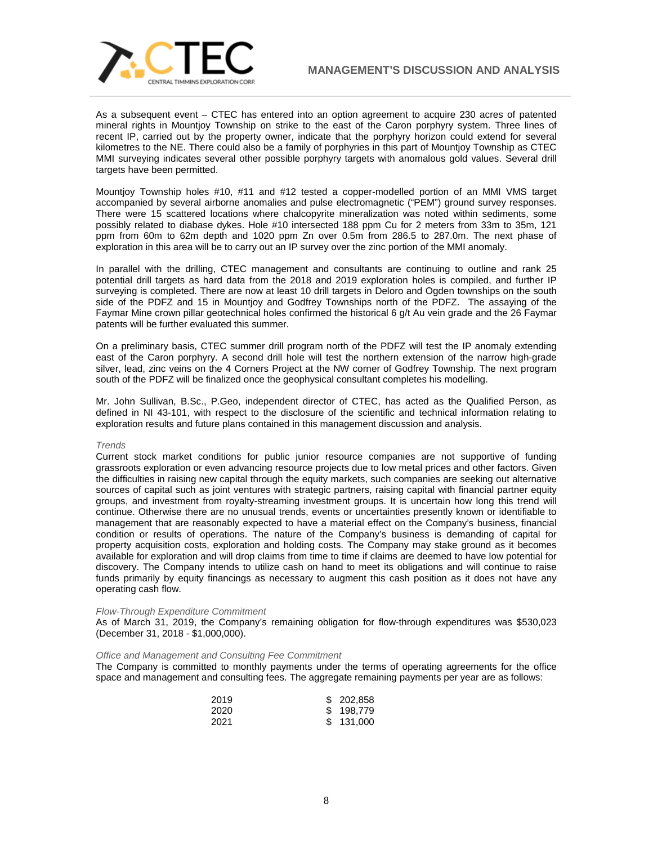

As a subsequent event – CTEC has entered into an option agreement to acquire 230 acres of patented mineral rights in Mountjoy Township on strike to the east of the Caron porphyry system. Three lines of recent IP, carried out by the property owner, indicate that the porphyry horizon could extend for several kilometres to the NE. There could also be a family of porphyries in this part of Mountjoy Township as CTEC MMI surveying indicates several other possible porphyry targets with anomalous gold values. Several drill targets have been permitted.

Mountjoy Township holes #10, #11 and #12 tested a copper-modelled portion of an MMI VMS target accompanied by several airborne anomalies and pulse electromagnetic ("PEM") ground survey responses. There were 15 scattered locations where chalcopyrite mineralization was noted within sediments, some possibly related to diabase dykes. Hole #10 intersected 188 ppm Cu for 2 meters from 33m to 35m, 121 ppm from 60m to 62m depth and 1020 ppm Zn over 0.5m from 286.5 to 287.0m. The next phase of exploration in this area will be to carry out an IP survey over the zinc portion of the MMI anomaly.

In parallel with the drilling, CTEC management and consultants are continuing to outline and rank 25 potential drill targets as hard data from the 2018 and 2019 exploration holes is compiled, and further IP surveying is completed. There are now at least 10 drill targets in Deloro and Ogden townships on the south side of the PDFZ and 15 in Mountjoy and Godfrey Townships north of the PDFZ. The assaying of the Faymar Mine crown pillar geotechnical holes confirmed the historical 6 g/t Au vein grade and the 26 Faymar patents will be further evaluated this summer.

On a preliminary basis, CTEC summer drill program north of the PDFZ will test the IP anomaly extending east of the Caron porphyry. A second drill hole will test the northern extension of the narrow high-grade silver, lead, zinc veins on the 4 Corners Project at the NW corner of Godfrey Township. The next program south of the PDFZ will be finalized once the geophysical consultant completes his modelling.

Mr. John Sullivan, B.Sc., P.Geo, independent director of CTEC, has acted as the Qualified Person, as defined in NI 43-101, with respect to the disclosure of the scientific and technical information relating to exploration results and future plans contained in this management discussion and analysis.

### *Trends*

Current stock market conditions for public junior resource companies are not supportive of funding grassroots exploration or even advancing resource projects due to low metal prices and other factors. Given the difficulties in raising new capital through the equity markets, such companies are seeking out alternative sources of capital such as joint ventures with strategic partners, raising capital with financial partner equity groups, and investment from royalty-streaming investment groups. It is uncertain how long this trend will continue. Otherwise there are no unusual trends, events or uncertainties presently known or identifiable to management that are reasonably expected to have a material effect on the Company's business, financial condition or results of operations. The nature of the Company's business is demanding of capital for property acquisition costs, exploration and holding costs. The Company may stake ground as it becomes available for exploration and will drop claims from time to time if claims are deemed to have low potential for discovery. The Company intends to utilize cash on hand to meet its obligations and will continue to raise funds primarily by equity financings as necessary to augment this cash position as it does not have any operating cash flow.

#### *Flow-Through Expenditure Commitment*

As of March 31, 2019, the Company's remaining obligation for flow-through expenditures was \$530,023 (December 31, 2018 - \$1,000,000).

#### *Office and Management and Consulting Fee Commitment*

The Company is committed to monthly payments under the terms of operating agreements for the office space and management and consulting fees. The aggregate remaining payments per year are as follows:

| 2019 | \$ 202,858 |
|------|------------|
| 2020 | \$198,779  |
| 2021 | \$131,000  |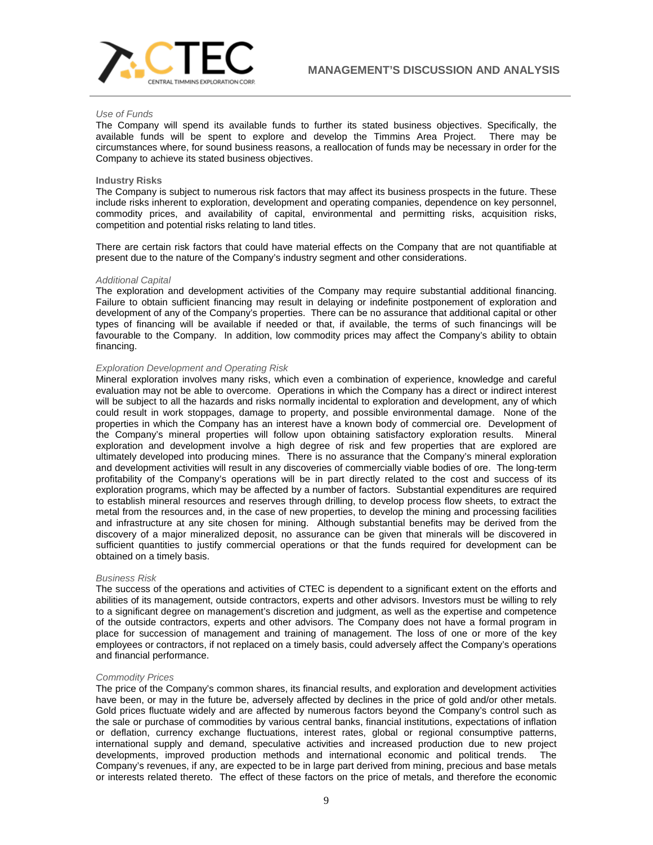

### *Use of Funds*

The Company will spend its available funds to further its stated business objectives. Specifically, the available funds will be spent to explore and develop the Timmins Area Project. There may be circumstances where, for sound business reasons, a reallocation of funds may be necessary in order for the Company to achieve its stated business objectives.

### **Industry Risks**

The Company is subject to numerous risk factors that may affect its business prospects in the future. These include risks inherent to exploration, development and operating companies, dependence on key personnel, commodity prices, and availability of capital, environmental and permitting risks, acquisition risks, competition and potential risks relating to land titles.

There are certain risk factors that could have material effects on the Company that are not quantifiable at present due to the nature of the Company's industry segment and other considerations.

#### *Additional Capital*

The exploration and development activities of the Company may require substantial additional financing. Failure to obtain sufficient financing may result in delaying or indefinite postponement of exploration and development of any of the Company's properties. There can be no assurance that additional capital or other types of financing will be available if needed or that, if available, the terms of such financings will be favourable to the Company. In addition, low commodity prices may affect the Company's ability to obtain financing.

### *Exploration Development and Operating Risk*

Mineral exploration involves many risks, which even a combination of experience, knowledge and careful evaluation may not be able to overcome. Operations in which the Company has a direct or indirect interest will be subject to all the hazards and risks normally incidental to exploration and development, any of which could result in work stoppages, damage to property, and possible environmental damage. None of the properties in which the Company has an interest have a known body of commercial ore. Development of the Company's mineral properties will follow upon obtaining satisfactory exploration results. Mineral exploration and development involve a high degree of risk and few properties that are explored are ultimately developed into producing mines. There is no assurance that the Company's mineral exploration and development activities will result in any discoveries of commercially viable bodies of ore. The long-term profitability of the Company's operations will be in part directly related to the cost and success of its exploration programs, which may be affected by a number of factors. Substantial expenditures are required to establish mineral resources and reserves through drilling, to develop process flow sheets, to extract the metal from the resources and, in the case of new properties, to develop the mining and processing facilities and infrastructure at any site chosen for mining. Although substantial benefits may be derived from the discovery of a major mineralized deposit, no assurance can be given that minerals will be discovered in sufficient quantities to justify commercial operations or that the funds required for development can be obtained on a timely basis.

### *Business Risk*

The success of the operations and activities of CTEC is dependent to a significant extent on the efforts and abilities of its management, outside contractors, experts and other advisors. Investors must be willing to rely to a significant degree on management's discretion and judgment, as well as the expertise and competence of the outside contractors, experts and other advisors. The Company does not have a formal program in place for succession of management and training of management. The loss of one or more of the key employees or contractors, if not replaced on a timely basis, could adversely affect the Company's operations and financial performance.

### *Commodity Prices*

The price of the Company's common shares, its financial results, and exploration and development activities have been, or may in the future be, adversely affected by declines in the price of gold and/or other metals. Gold prices fluctuate widely and are affected by numerous factors beyond the Company's control such as the sale or purchase of commodities by various central banks, financial institutions, expectations of inflation or deflation, currency exchange fluctuations, interest rates, global or regional consumptive patterns, international supply and demand, speculative activities and increased production due to new project developments, improved production methods and international economic and political trends. The Company's revenues, if any, are expected to be in large part derived from mining, precious and base metals or interests related thereto. The effect of these factors on the price of metals, and therefore the economic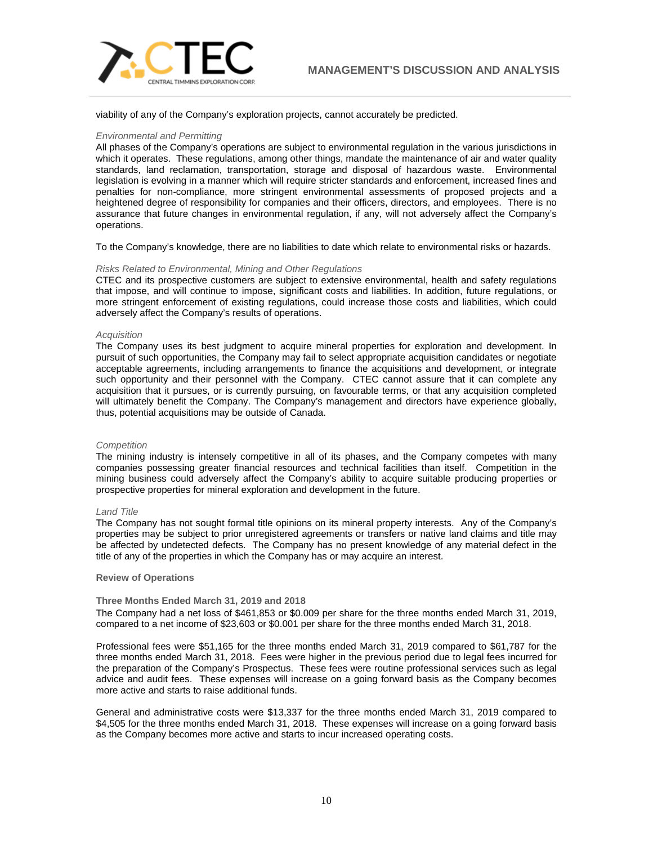

viability of any of the Company's exploration projects, cannot accurately be predicted.

## *Environmental and Permitting*

All phases of the Company's operations are subject to environmental regulation in the various jurisdictions in which it operates. These regulations, among other things, mandate the maintenance of air and water quality standards, land reclamation, transportation, storage and disposal of hazardous waste. Environmental legislation is evolving in a manner which will require stricter standards and enforcement, increased fines and penalties for non-compliance, more stringent environmental assessments of proposed projects and a heightened degree of responsibility for companies and their officers, directors, and employees. There is no assurance that future changes in environmental regulation, if any, will not adversely affect the Company's operations.

To the Company's knowledge, there are no liabilities to date which relate to environmental risks or hazards.

# *Risks Related to Environmental, Mining and Other Regulations*

CTEC and its prospective customers are subject to extensive environmental, health and safety regulations that impose, and will continue to impose, significant costs and liabilities. In addition, future regulations, or more stringent enforcement of existing regulations, could increase those costs and liabilities, which could adversely affect the Company's results of operations.

### *Acquisition*

The Company uses its best judgment to acquire mineral properties for exploration and development. In pursuit of such opportunities, the Company may fail to select appropriate acquisition candidates or negotiate acceptable agreements, including arrangements to finance the acquisitions and development, or integrate such opportunity and their personnel with the Company. CTEC cannot assure that it can complete any acquisition that it pursues, or is currently pursuing, on favourable terms, or that any acquisition completed will ultimately benefit the Company. The Company's management and directors have experience globally, thus, potential acquisitions may be outside of Canada.

### *Competition*

The mining industry is intensely competitive in all of its phases, and the Company competes with many companies possessing greater financial resources and technical facilities than itself. Competition in the mining business could adversely affect the Company's ability to acquire suitable producing properties or prospective properties for mineral exploration and development in the future.

### *Land Title*

The Company has not sought formal title opinions on its mineral property interests. Any of the Company's properties may be subject to prior unregistered agreements or transfers or native land claims and title may be affected by undetected defects. The Company has no present knowledge of any material defect in the title of any of the properties in which the Company has or may acquire an interest.

### **Review of Operations**

### **Three Months Ended March 31, 2019 and 2018**

The Company had a net loss of \$461,853 or \$0.009 per share for the three months ended March 31, 2019, compared to a net income of \$23,603 or \$0.001 per share for the three months ended March 31, 2018.

Professional fees were \$51,165 for the three months ended March 31, 2019 compared to \$61,787 for the three months ended March 31, 2018. Fees were higher in the previous period due to legal fees incurred for the preparation of the Company's Prospectus. These fees were routine professional services such as legal advice and audit fees. These expenses will increase on a going forward basis as the Company becomes more active and starts to raise additional funds.

General and administrative costs were \$13,337 for the three months ended March 31, 2019 compared to \$4,505 for the three months ended March 31, 2018. These expenses will increase on a going forward basis as the Company becomes more active and starts to incur increased operating costs.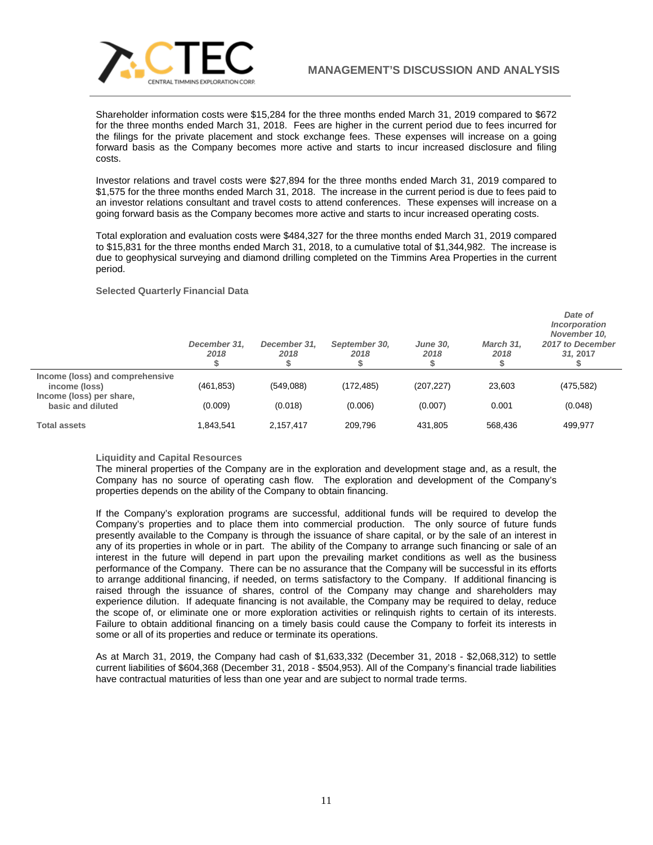

Shareholder information costs were \$15,284 for the three months ended March 31, 2019 compared to \$672 for the three months ended March 31, 2018. Fees are higher in the current period due to fees incurred for the filings for the private placement and stock exchange fees. These expenses will increase on a going forward basis as the Company becomes more active and starts to incur increased disclosure and filing costs.

Investor relations and travel costs were \$27,894 for the three months ended March 31, 2019 compared to \$1,575 for the three months ended March 31, 2018. The increase in the current period is due to fees paid to an investor relations consultant and travel costs to attend conferences. These expenses will increase on a going forward basis as the Company becomes more active and starts to incur increased operating costs.

Total exploration and evaluation costs were \$484,327 for the three months ended March 31, 2019 compared to \$15,831 for the three months ended March 31, 2018, to a cumulative total of \$1,344,982. The increase is due to geophysical surveying and diamond drilling completed on the Timmins Area Properties in the current period.

### **Selected Quarterly Financial Data**

|                                                  | December 31,<br>2018 | December 31,<br>2018 | September 30,<br>2018 | <b>June 30,</b><br>2018 | March 31.<br>2018 | Date of<br>Incorporation<br>November 10,<br>2017 to December<br>31, 2017 |
|--------------------------------------------------|----------------------|----------------------|-----------------------|-------------------------|-------------------|--------------------------------------------------------------------------|
| Income (loss) and comprehensive<br>income (loss) | (461, 853)           | (549,088)            | (172, 485)            | (207, 227)              | 23,603            | (475, 582)                                                               |
| Income (loss) per share,<br>basic and diluted    | (0.009)              | (0.018)              | (0.006)               | (0.007)                 | 0.001             | (0.048)                                                                  |
| <b>Total assets</b>                              | 1.843.541            | 2,157,417            | 209,796               | 431.805                 | 568.436           | 499.977                                                                  |

### **Liquidity and Capital Resources**

The mineral properties of the Company are in the exploration and development stage and, as a result, the Company has no source of operating cash flow. The exploration and development of the Company's properties depends on the ability of the Company to obtain financing.

If the Company's exploration programs are successful, additional funds will be required to develop the Company's properties and to place them into commercial production. The only source of future funds presently available to the Company is through the issuance of share capital, or by the sale of an interest in any of its properties in whole or in part. The ability of the Company to arrange such financing or sale of an interest in the future will depend in part upon the prevailing market conditions as well as the business performance of the Company. There can be no assurance that the Company will be successful in its efforts to arrange additional financing, if needed, on terms satisfactory to the Company. If additional financing is raised through the issuance of shares, control of the Company may change and shareholders may experience dilution. If adequate financing is not available, the Company may be required to delay, reduce the scope of, or eliminate one or more exploration activities or relinquish rights to certain of its interests. Failure to obtain additional financing on a timely basis could cause the Company to forfeit its interests in some or all of its properties and reduce or terminate its operations.

As at March 31, 2019, the Company had cash of \$1,633,332 (December 31, 2018 - \$2,068,312) to settle current liabilities of \$604,368 (December 31, 2018 - \$504,953). All of the Company's financial trade liabilities have contractual maturities of less than one year and are subject to normal trade terms.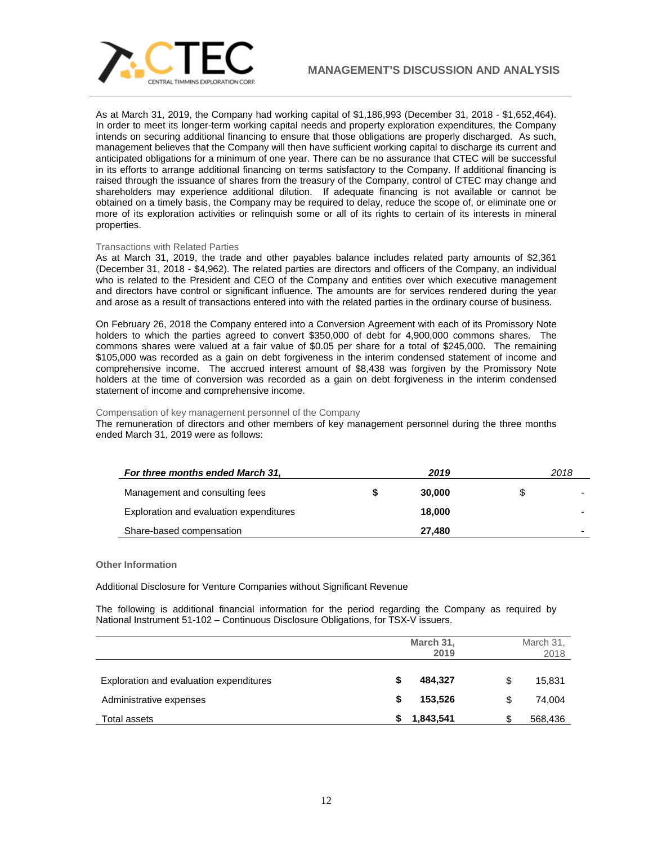

As at March 31, 2019, the Company had working capital of \$1,186,993 (December 31, 2018 - \$1,652,464). In order to meet its longer-term working capital needs and property exploration expenditures, the Company intends on securing additional financing to ensure that those obligations are properly discharged. As such, management believes that the Company will then have sufficient working capital to discharge its current and anticipated obligations for a minimum of one year. There can be no assurance that CTEC will be successful in its efforts to arrange additional financing on terms satisfactory to the Company. If additional financing is raised through the issuance of shares from the treasury of the Company, control of CTEC may change and shareholders may experience additional dilution. If adequate financing is not available or cannot be obtained on a timely basis, the Company may be required to delay, reduce the scope of, or eliminate one or more of its exploration activities or relinquish some or all of its rights to certain of its interests in mineral properties.

### Transactions with Related Parties

As at March 31, 2019, the trade and other payables balance includes related party amounts of \$2,361 (December 31, 2018 - \$4,962). The related parties are directors and officers of the Company, an individual who is related to the President and CEO of the Company and entities over which executive management and directors have control or significant influence. The amounts are for services rendered during the year and arose as a result of transactions entered into with the related parties in the ordinary course of business.

On February 26, 2018 the Company entered into a Conversion Agreement with each of its Promissory Note holders to which the parties agreed to convert \$350,000 of debt for 4,900,000 commons shares. The commons shares were valued at a fair value of \$0.05 per share for a total of \$245,000. The remaining \$105,000 was recorded as a gain on debt forgiveness in the interim condensed statement of income and comprehensive income. The accrued interest amount of \$8,438 was forgiven by the Promissory Note holders at the time of conversion was recorded as a gain on debt forgiveness in the interim condensed statement of income and comprehensive income.

### Compensation of key management personnel of the Company

The remuneration of directors and other members of key management personnel during the three months ended March 31, 2019 were as follows:

| For three months ended March 31,        | 2019   | 2018 |
|-----------------------------------------|--------|------|
| Management and consulting fees          | 30,000 | \$   |
| Exploration and evaluation expenditures | 18,000 |      |
| Share-based compensation                | 27.480 |      |

### **Other Information**

Additional Disclosure for Venture Companies without Significant Revenue

The following is additional financial information for the period regarding the Company as required by National Instrument 51-102 – Continuous Disclosure Obligations, for TSX-V issuers.

|                                         |   | March 31,<br>2019 | March 31,<br>2018 |
|-----------------------------------------|---|-------------------|-------------------|
| Exploration and evaluation expenditures | S | 484,327           | \$<br>15,831      |
| Administrative expenses                 | S | 153,526           | \$<br>74,004      |
| Total assets                            |   | 1,843,541         | 568,436           |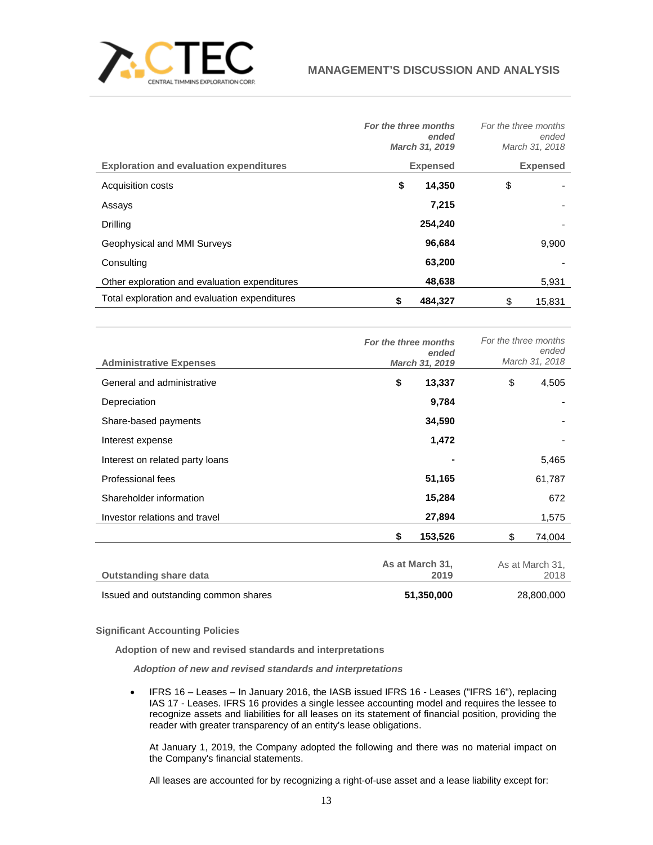

|                                                | For the three months | ended<br>March 31, 2019 | For the three months<br>ended<br>March 31, 2018 |
|------------------------------------------------|----------------------|-------------------------|-------------------------------------------------|
| <b>Exploration and evaluation expenditures</b> |                      | <b>Expensed</b>         | <b>Expensed</b>                                 |
| Acquisition costs                              | \$                   | 14,350                  | \$                                              |
| Assays                                         |                      | 7,215                   |                                                 |
| <b>Drilling</b>                                |                      | 254.240                 |                                                 |
| Geophysical and MMI Surveys                    |                      | 96,684                  | 9,900                                           |
| Consulting                                     |                      | 63,200                  |                                                 |
| Other exploration and evaluation expenditures  |                      | 48,638                  | 5,931                                           |
| Total exploration and evaluation expenditures  | S                    | 484.327                 | \$<br>15.831                                    |
|                                                |                      |                         |                                                 |

| <b>Administrative Expenses</b>       | For the three months<br>ended<br>March 31, 2019 | For the three months<br>ended<br>March 31, 2018 |
|--------------------------------------|-------------------------------------------------|-------------------------------------------------|
| General and administrative           | \$<br>13,337                                    | \$<br>4,505                                     |
| Depreciation                         | 9,784                                           |                                                 |
| Share-based payments                 | 34,590                                          |                                                 |
| Interest expense                     | 1,472                                           |                                                 |
| Interest on related party loans      |                                                 | 5,465                                           |
| Professional fees                    | 51,165                                          | 61,787                                          |
| Shareholder information              | 15,284                                          | 672                                             |
| Investor relations and travel        | 27,894                                          | 1,575                                           |
|                                      | \$<br>153,526                                   | \$<br>74,004                                    |
| <b>Outstanding share data</b>        | As at March 31,<br>2019                         | As at March 31,<br>2018                         |
| Issued and outstanding common shares | 51,350,000                                      | 28,800,000                                      |

# **Significant Accounting Policies**

**Adoption of new and revised standards and interpretations**

*Adoption of new and revised standards and interpretations*

• IFRS 16 – Leases – In January 2016, the IASB issued IFRS 16 - Leases ("IFRS 16"), replacing IAS 17 - Leases. IFRS 16 provides a single lessee accounting model and requires the lessee to recognize assets and liabilities for all leases on its statement of financial position, providing the reader with greater transparency of an entity's lease obligations.

At January 1, 2019, the Company adopted the following and there was no material impact on the Company's financial statements.

All leases are accounted for by recognizing a right-of-use asset and a lease liability except for: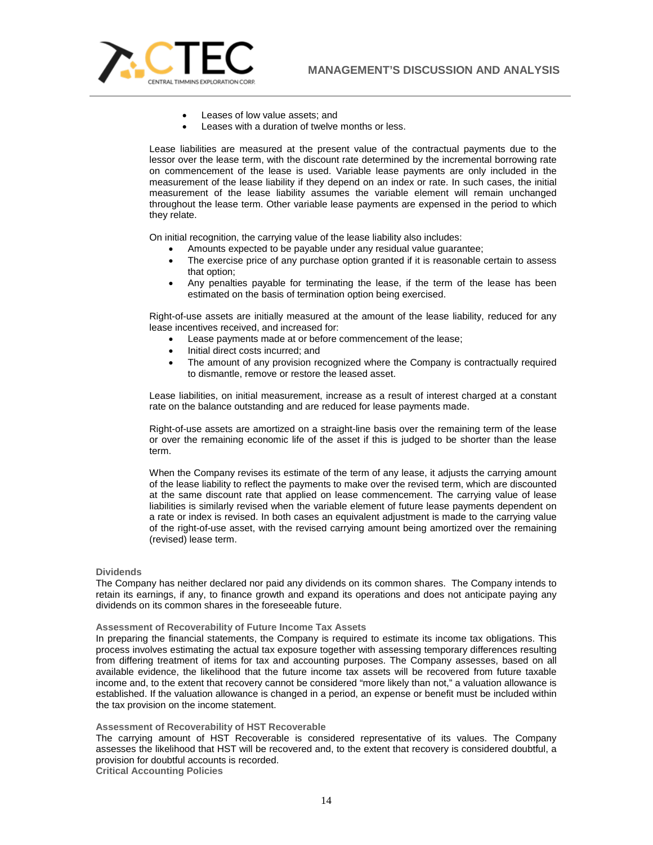

- Leases of low value assets; and
- Leases with a duration of twelve months or less.

Lease liabilities are measured at the present value of the contractual payments due to the lessor over the lease term, with the discount rate determined by the incremental borrowing rate on commencement of the lease is used. Variable lease payments are only included in the measurement of the lease liability if they depend on an index or rate. In such cases, the initial measurement of the lease liability assumes the variable element will remain unchanged throughout the lease term. Other variable lease payments are expensed in the period to which they relate.

On initial recognition, the carrying value of the lease liability also includes:

- Amounts expected to be payable under any residual value guarantee;
- The exercise price of any purchase option granted if it is reasonable certain to assess that option;
- Any penalties payable for terminating the lease, if the term of the lease has been estimated on the basis of termination option being exercised.

Right-of-use assets are initially measured at the amount of the lease liability, reduced for any lease incentives received, and increased for:

- Lease payments made at or before commencement of the lease;
- Initial direct costs incurred; and
- The amount of any provision recognized where the Company is contractually required to dismantle, remove or restore the leased asset.

Lease liabilities, on initial measurement, increase as a result of interest charged at a constant rate on the balance outstanding and are reduced for lease payments made.

Right-of-use assets are amortized on a straight-line basis over the remaining term of the lease or over the remaining economic life of the asset if this is judged to be shorter than the lease term.

When the Company revises its estimate of the term of any lease, it adjusts the carrying amount of the lease liability to reflect the payments to make over the revised term, which are discounted at the same discount rate that applied on lease commencement. The carrying value of lease liabilities is similarly revised when the variable element of future lease payments dependent on a rate or index is revised. In both cases an equivalent adjustment is made to the carrying value of the right-of-use asset, with the revised carrying amount being amortized over the remaining (revised) lease term.

### **Dividends**

The Company has neither declared nor paid any dividends on its common shares. The Company intends to retain its earnings, if any, to finance growth and expand its operations and does not anticipate paying any dividends on its common shares in the foreseeable future.

### **Assessment of Recoverability of Future Income Tax Assets**

In preparing the financial statements, the Company is required to estimate its income tax obligations. This process involves estimating the actual tax exposure together with assessing temporary differences resulting from differing treatment of items for tax and accounting purposes. The Company assesses, based on all available evidence, the likelihood that the future income tax assets will be recovered from future taxable income and, to the extent that recovery cannot be considered "more likely than not," a valuation allowance is established. If the valuation allowance is changed in a period, an expense or benefit must be included within the tax provision on the income statement.

### **Assessment of Recoverability of HST Recoverable**

The carrying amount of HST Recoverable is considered representative of its values. The Company assesses the likelihood that HST will be recovered and, to the extent that recovery is considered doubtful, a provision for doubtful accounts is recorded. **Critical Accounting Policies**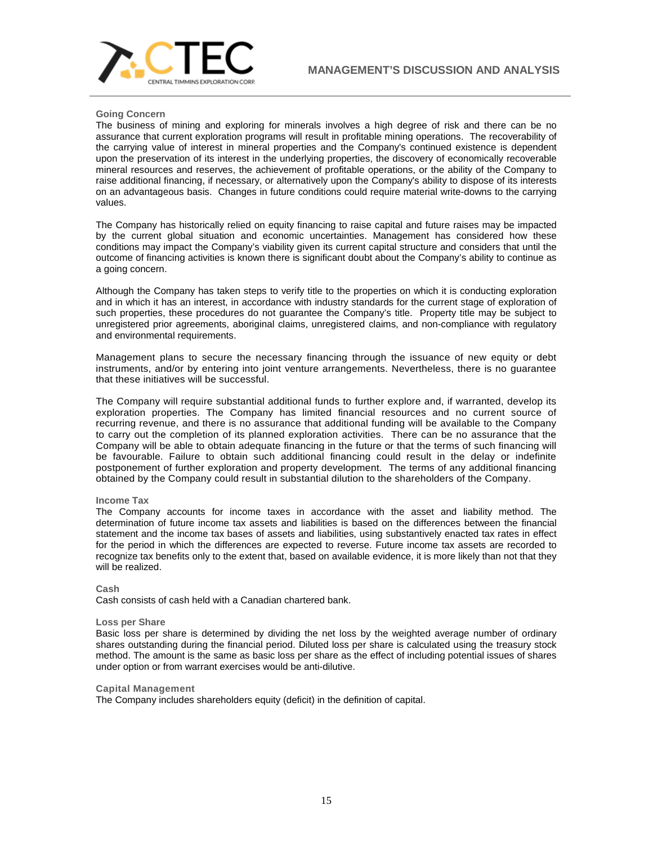

### **Going Concern**

The business of mining and exploring for minerals involves a high degree of risk and there can be no assurance that current exploration programs will result in profitable mining operations. The recoverability of the carrying value of interest in mineral properties and the Company's continued existence is dependent upon the preservation of its interest in the underlying properties, the discovery of economically recoverable mineral resources and reserves, the achievement of profitable operations, or the ability of the Company to raise additional financing, if necessary, or alternatively upon the Company's ability to dispose of its interests on an advantageous basis. Changes in future conditions could require material write-downs to the carrying values.

The Company has historically relied on equity financing to raise capital and future raises may be impacted by the current global situation and economic uncertainties. Management has considered how these conditions may impact the Company's viability given its current capital structure and considers that until the outcome of financing activities is known there is significant doubt about the Company's ability to continue as a going concern.

Although the Company has taken steps to verify title to the properties on which it is conducting exploration and in which it has an interest, in accordance with industry standards for the current stage of exploration of such properties, these procedures do not guarantee the Company's title. Property title may be subject to unregistered prior agreements, aboriginal claims, unregistered claims, and non-compliance with regulatory and environmental requirements.

Management plans to secure the necessary financing through the issuance of new equity or debt instruments, and/or by entering into joint venture arrangements. Nevertheless, there is no guarantee that these initiatives will be successful.

The Company will require substantial additional funds to further explore and, if warranted, develop its exploration properties. The Company has limited financial resources and no current source of recurring revenue, and there is no assurance that additional funding will be available to the Company to carry out the completion of its planned exploration activities. There can be no assurance that the Company will be able to obtain adequate financing in the future or that the terms of such financing will be favourable. Failure to obtain such additional financing could result in the delay or indefinite postponement of further exploration and property development. The terms of any additional financing obtained by the Company could result in substantial dilution to the shareholders of the Company.

# **Income Tax**

The Company accounts for income taxes in accordance with the asset and liability method. The determination of future income tax assets and liabilities is based on the differences between the financial statement and the income tax bases of assets and liabilities, using substantively enacted tax rates in effect for the period in which the differences are expected to reverse. Future income tax assets are recorded to recognize tax benefits only to the extent that, based on available evidence, it is more likely than not that they will be realized.

### **Cash**

Cash consists of cash held with a Canadian chartered bank.

### **Loss per Share**

Basic loss per share is determined by dividing the net loss by the weighted average number of ordinary shares outstanding during the financial period. Diluted loss per share is calculated using the treasury stock method. The amount is the same as basic loss per share as the effect of including potential issues of shares under option or from warrant exercises would be anti-dilutive.

### **Capital Management**

The Company includes shareholders equity (deficit) in the definition of capital.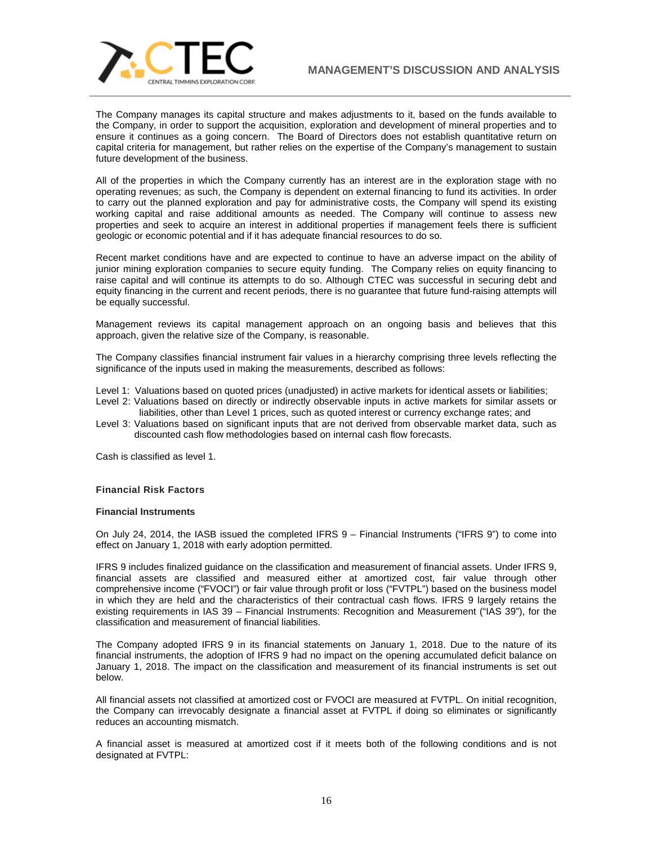

The Company manages its capital structure and makes adjustments to it, based on the funds available to the Company, in order to support the acquisition, exploration and development of mineral properties and to ensure it continues as a going concern. The Board of Directors does not establish quantitative return on capital criteria for management, but rather relies on the expertise of the Company's management to sustain future development of the business.

All of the properties in which the Company currently has an interest are in the exploration stage with no operating revenues; as such, the Company is dependent on external financing to fund its activities. In order to carry out the planned exploration and pay for administrative costs, the Company will spend its existing working capital and raise additional amounts as needed. The Company will continue to assess new properties and seek to acquire an interest in additional properties if management feels there is sufficient geologic or economic potential and if it has adequate financial resources to do so.

Recent market conditions have and are expected to continue to have an adverse impact on the ability of junior mining exploration companies to secure equity funding. The Company relies on equity financing to raise capital and will continue its attempts to do so. Although CTEC was successful in securing debt and equity financing in the current and recent periods, there is no guarantee that future fund-raising attempts will be equally successful.

Management reviews its capital management approach on an ongoing basis and believes that this approach, given the relative size of the Company, is reasonable.

The Company classifies financial instrument fair values in a hierarchy comprising three levels reflecting the significance of the inputs used in making the measurements, described as follows:

Level 1: Valuations based on quoted prices (unadjusted) in active markets for identical assets or liabilities;

- Level 2: Valuations based on directly or indirectly observable inputs in active markets for similar assets or liabilities, other than Level 1 prices, such as quoted interest or currency exchange rates; and
- Level 3: Valuations based on significant inputs that are not derived from observable market data, such as discounted cash flow methodologies based on internal cash flow forecasts.

Cash is classified as level 1.

### **Financial Risk Factors**

#### **Financial Instruments**

On July 24, 2014, the IASB issued the completed IFRS 9 – Financial Instruments ("IFRS 9") to come into effect on January 1, 2018 with early adoption permitted.

IFRS 9 includes finalized guidance on the classification and measurement of financial assets. Under IFRS 9, financial assets are classified and measured either at amortized cost, fair value through other comprehensive income ("FVOCI") or fair value through profit or loss ("FVTPL") based on the business model in which they are held and the characteristics of their contractual cash flows. IFRS 9 largely retains the existing requirements in IAS 39 – Financial Instruments: Recognition and Measurement ("IAS 39"), for the classification and measurement of financial liabilities.

The Company adopted IFRS 9 in its financial statements on January 1, 2018. Due to the nature of its financial instruments, the adoption of IFRS 9 had no impact on the opening accumulated deficit balance on January 1, 2018. The impact on the classification and measurement of its financial instruments is set out below.

All financial assets not classified at amortized cost or FVOCI are measured at FVTPL. On initial recognition, the Company can irrevocably designate a financial asset at FVTPL if doing so eliminates or significantly reduces an accounting mismatch.

A financial asset is measured at amortized cost if it meets both of the following conditions and is not designated at FVTPL: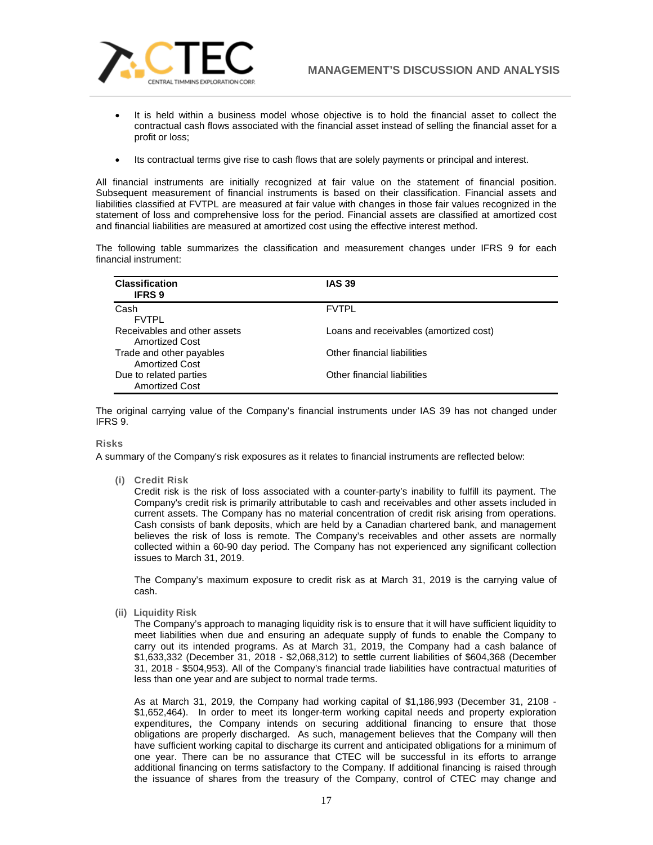

- It is held within a business model whose objective is to hold the financial asset to collect the contractual cash flows associated with the financial asset instead of selling the financial asset for a profit or loss;
- Its contractual terms give rise to cash flows that are solely payments or principal and interest.

All financial instruments are initially recognized at fair value on the statement of financial position. Subsequent measurement of financial instruments is based on their classification. Financial assets and liabilities classified at FVTPL are measured at fair value with changes in those fair values recognized in the statement of loss and comprehensive loss for the period. Financial assets are classified at amortized cost and financial liabilities are measured at amortized cost using the effective interest method.

The following table summarizes the classification and measurement changes under IFRS 9 for each financial instrument:

| <b>Classification</b><br><b>IFRS 9</b>                | <b>IAS 39</b>                          |
|-------------------------------------------------------|----------------------------------------|
| Cash<br><b>FVTPL</b>                                  | <b>FVTPL</b>                           |
| Receivables and other assets<br><b>Amortized Cost</b> | Loans and receivables (amortized cost) |
| Trade and other payables<br><b>Amortized Cost</b>     | Other financial liabilities            |
| Due to related parties<br><b>Amortized Cost</b>       | Other financial liabilities            |

The original carrying value of the Company's financial instruments under IAS 39 has not changed under IFRS 9.

### **Risks**

A summary of the Company's risk exposures as it relates to financial instruments are reflected below:

**(i) Credit Risk**

Credit risk is the risk of loss associated with a counter-party's inability to fulfill its payment. The Company's credit risk is primarily attributable to cash and receivables and other assets included in current assets. The Company has no material concentration of credit risk arising from operations. Cash consists of bank deposits, which are held by a Canadian chartered bank, and management believes the risk of loss is remote. The Company's receivables and other assets are normally collected within a 60-90 day period. The Company has not experienced any significant collection issues to March 31, 2019.

The Company's maximum exposure to credit risk as at March 31, 2019 is the carrying value of cash.

**(ii) Liquidity Risk**

The Company's approach to managing liquidity risk is to ensure that it will have sufficient liquidity to meet liabilities when due and ensuring an adequate supply of funds to enable the Company to carry out its intended programs. As at March 31, 2019, the Company had a cash balance of \$1,633,332 (December 31, 2018 - \$2,068,312) to settle current liabilities of \$604,368 (December 31, 2018 - \$504,953). All of the Company's financial trade liabilities have contractual maturities of less than one year and are subject to normal trade terms.

As at March 31, 2019, the Company had working capital of \$1,186,993 (December 31, 2108 - \$1,652,464). In order to meet its longer-term working capital needs and property exploration expenditures, the Company intends on securing additional financing to ensure that those obligations are properly discharged. As such, management believes that the Company will then have sufficient working capital to discharge its current and anticipated obligations for a minimum of one year. There can be no assurance that CTEC will be successful in its efforts to arrange additional financing on terms satisfactory to the Company. If additional financing is raised through the issuance of shares from the treasury of the Company, control of CTEC may change and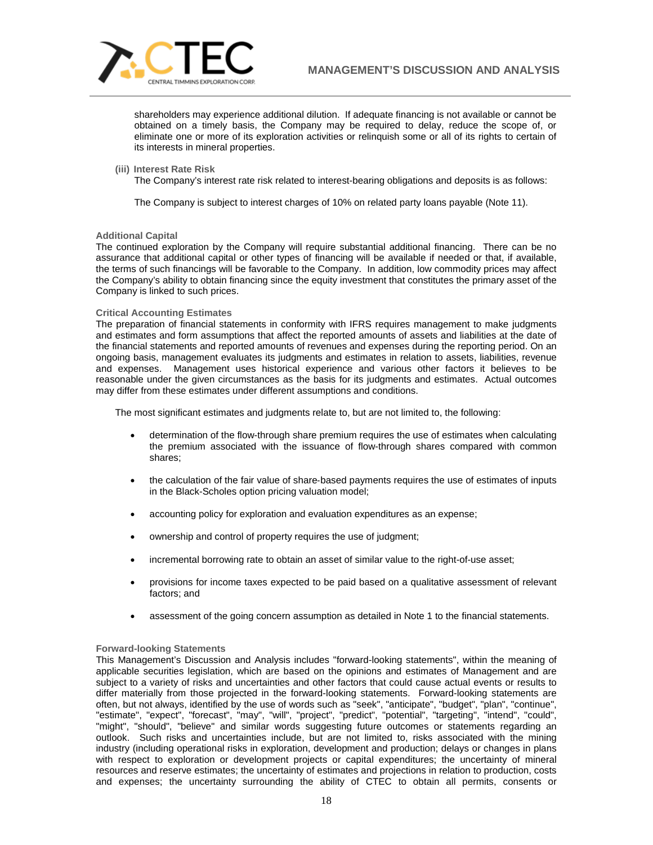

shareholders may experience additional dilution. If adequate financing is not available or cannot be obtained on a timely basis, the Company may be required to delay, reduce the scope of, or eliminate one or more of its exploration activities or relinquish some or all of its rights to certain of its interests in mineral properties.

**(iii) Interest Rate Risk**

The Company's interest rate risk related to interest-bearing obligations and deposits is as follows:

The Company is subject to interest charges of 10% on related party loans payable (Note 11).

### **Additional Capital**

The continued exploration by the Company will require substantial additional financing. There can be no assurance that additional capital or other types of financing will be available if needed or that, if available, the terms of such financings will be favorable to the Company. In addition, low commodity prices may affect the Company's ability to obtain financing since the equity investment that constitutes the primary asset of the Company is linked to such prices.

### **Critical Accounting Estimates**

The preparation of financial statements in conformity with IFRS requires management to make judgments and estimates and form assumptions that affect the reported amounts of assets and liabilities at the date of the financial statements and reported amounts of revenues and expenses during the reporting period. On an ongoing basis, management evaluates its judgments and estimates in relation to assets, liabilities, revenue and expenses. Management uses historical experience and various other factors it believes to be reasonable under the given circumstances as the basis for its judgments and estimates. Actual outcomes may differ from these estimates under different assumptions and conditions.

The most significant estimates and judgments relate to, but are not limited to, the following:

- determination of the flow-through share premium requires the use of estimates when calculating the premium associated with the issuance of flow-through shares compared with common shares;
- the calculation of the fair value of share-based payments requires the use of estimates of inputs in the Black-Scholes option pricing valuation model;
- accounting policy for exploration and evaluation expenditures as an expense;
- ownership and control of property requires the use of judgment;
- incremental borrowing rate to obtain an asset of similar value to the right-of-use asset;
- provisions for income taxes expected to be paid based on a qualitative assessment of relevant factors; and
- assessment of the going concern assumption as detailed in Note 1 to the financial statements.

# **Forward-looking Statements**

This Management's Discussion and Analysis includes "forward-looking statements", within the meaning of applicable securities legislation, which are based on the opinions and estimates of Management and are subject to a variety of risks and uncertainties and other factors that could cause actual events or results to differ materially from those projected in the forward-looking statements. Forward-looking statements are often, but not always, identified by the use of words such as "seek", "anticipate", "budget", "plan", "continue", "estimate", "expect", "forecast", "may", "will", "project", "predict", "potential", "targeting", "intend", "could", "might", "should", "believe" and similar words suggesting future outcomes or statements regarding an outlook. Such risks and uncertainties include, but are not limited to, risks associated with the mining industry (including operational risks in exploration, development and production; delays or changes in plans with respect to exploration or development projects or capital expenditures; the uncertainty of mineral resources and reserve estimates; the uncertainty of estimates and projections in relation to production, costs and expenses; the uncertainty surrounding the ability of CTEC to obtain all permits, consents or